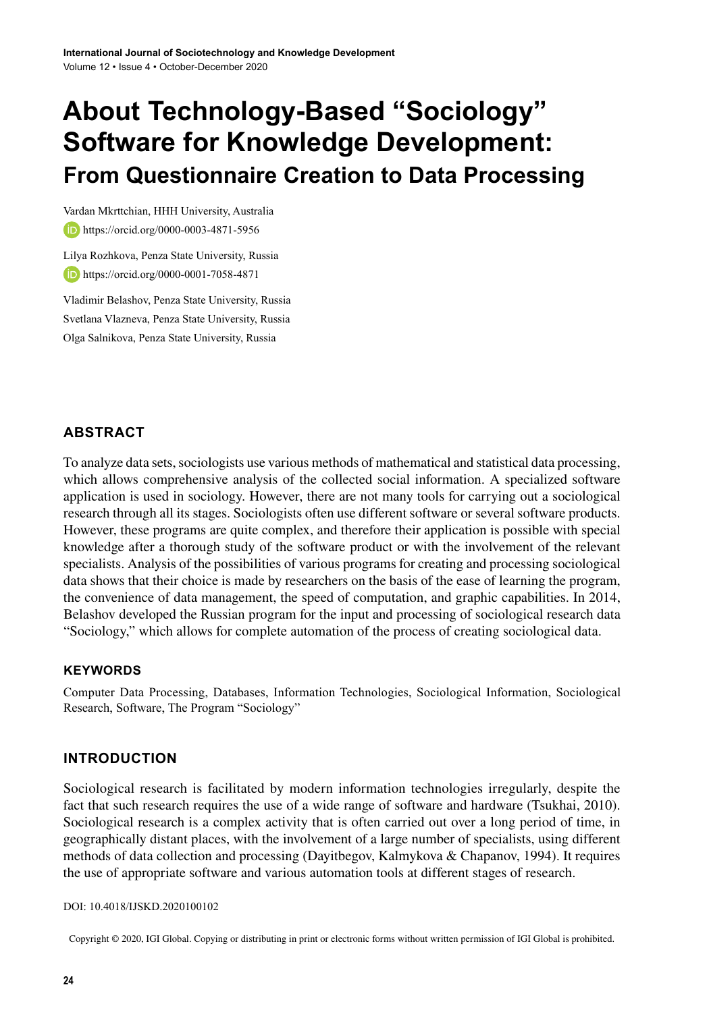# **About Technology-Based "Sociology" Software for Knowledge Development: From Questionnaire Creation to Data Processing**

Vardan Mkrttchian, HHH University, Australia https://orcid.org/0000-0003-4871-5956

Lilya Rozhkova, Penza State University, Russia https://orcid.org/0000-0001-7058-4871

Vladimir Belashov, Penza State University, Russia Svetlana Vlazneva, Penza State University, Russia Olga Salnikova, Penza State University, Russia

## **ABSTRACT**

To analyze data sets, sociologists use various methods of mathematical and statistical data processing, which allows comprehensive analysis of the collected social information. A specialized software application is used in sociology. However, there are not many tools for carrying out a sociological research through all its stages. Sociologists often use different software or several software products. However, these programs are quite complex, and therefore their application is possible with special knowledge after a thorough study of the software product or with the involvement of the relevant specialists. Analysis of the possibilities of various programs for creating and processing sociological data shows that their choice is made by researchers on the basis of the ease of learning the program, the convenience of data management, the speed of computation, and graphic capabilities. In 2014, Belashov developed the Russian program for the input and processing of sociological research data "Sociology," which allows for complete automation of the process of creating sociological data.

#### **Keywords**

Computer Data Processing, Databases, Information Technologies, Sociological Information, Sociological Research, Software, The Program "Sociology"

#### **INTRODUCTION**

Sociological research is facilitated by modern information technologies irregularly, despite the fact that such research requires the use of a wide range of software and hardware (Tsukhai, 2010). Sociological research is a complex activity that is often carried out over a long period of time, in geographically distant places, with the involvement of a large number of specialists, using different methods of data collection and processing (Dayitbegov, Kalmykova & Chapanov, 1994). It requires the use of appropriate software and various automation tools at different stages of research.

#### DOI: 10.4018/IJSKD.2020100102

Copyright © 2020, IGI Global. Copying or distributing in print or electronic forms without written permission of IGI Global is prohibited.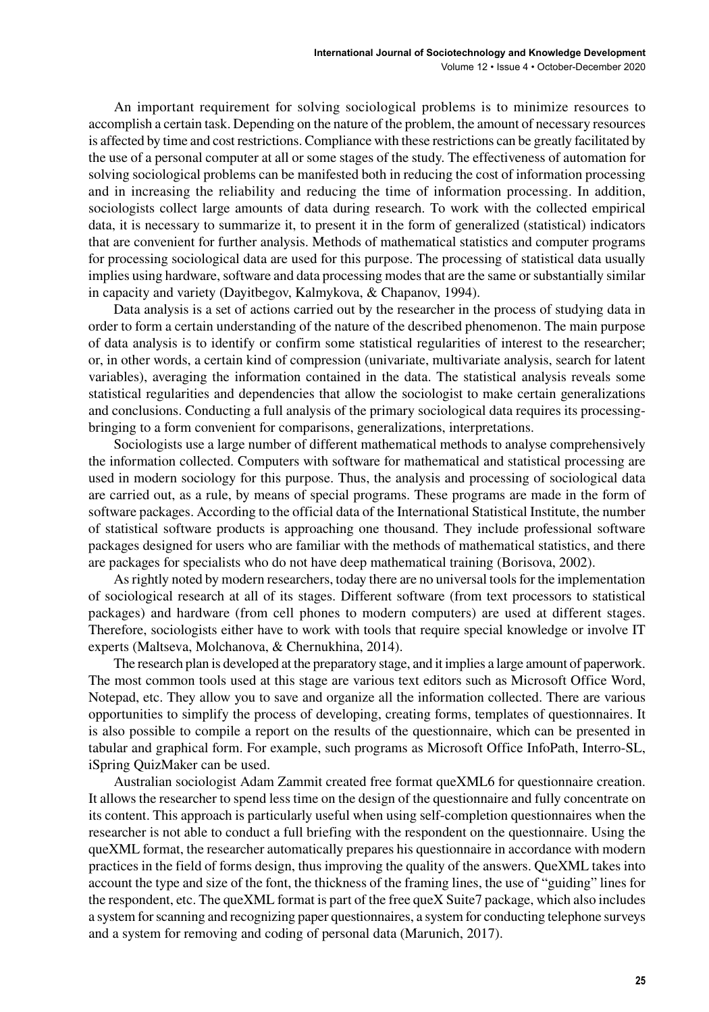An important requirement for solving sociological problems is to minimize resources to accomplish a certain task. Depending on the nature of the problem, the amount of necessary resources is affected by time and cost restrictions. Compliance with these restrictions can be greatly facilitated by the use of a personal computer at all or some stages of the study. The effectiveness of automation for solving sociological problems can be manifested both in reducing the cost of information processing and in increasing the reliability and reducing the time of information processing. In addition, sociologists collect large amounts of data during research. To work with the collected empirical data, it is necessary to summarize it, to present it in the form of generalized (statistical) indicators that are convenient for further analysis. Methods of mathematical statistics and computer programs for processing sociological data are used for this purpose. The processing of statistical data usually implies using hardware, software and data processing modes that are the same or substantially similar in capacity and variety (Dayitbegov, Kalmykova, & Chapanov, 1994).

Data analysis is a set of actions carried out by the researcher in the process of studying data in order to form a certain understanding of the nature of the described phenomenon. The main purpose of data analysis is to identify or confirm some statistical regularities of interest to the researcher; or, in other words, a certain kind of compression (univariate, multivariate analysis, search for latent variables), averaging the information contained in the data. The statistical analysis reveals some statistical regularities and dependencies that allow the sociologist to make certain generalizations and conclusions. Conducting a full analysis of the primary sociological data requires its processingbringing to a form convenient for comparisons, generalizations, interpretations.

Sociologists use a large number of different mathematical methods to analyse comprehensively the information collected. Computers with software for mathematical and statistical processing are used in modern sociology for this purpose. Thus, the analysis and processing of sociological data are carried out, as a rule, by means of special programs. These programs are made in the form of software packages. According to the official data of the International Statistical Institute, the number of statistical software products is approaching one thousand. They include professional software packages designed for users who are familiar with the methods of mathematical statistics, and there are packages for specialists who do not have deep mathematical training (Borisova, 2002).

As rightly noted by modern researchers, today there are no universal tools for the implementation of sociological research at all of its stages. Different software (from text processors to statistical packages) and hardware (from cell phones to modern computers) are used at different stages. Therefore, sociologists either have to work with tools that require special knowledge or involve IT experts (Maltsevа, Molchanova, & Chernukhina, 2014).

The research plan is developed at the preparatory stage, and it implies a large amount of paperwork. The most common tools used at this stage are various text editors such as Microsoft Office Word, Notepad, etc. They allow you to save and organize all the information collected. There are various opportunities to simplify the process of developing, creating forms, templates of questionnaires. It is also possible to compile a report on the results of the questionnaire, which can be presented in tabular and graphical form. For example, such programs as Microsoft Office InfoPath, Interro-SL, iSpring QuizMaker can be used.

Australian sociologist Adam Zammit created free format queXML6 for questionnaire creation. It allows the researcher to spend less time on the design of the questionnaire and fully concentrate on its content. This approach is particularly useful when using self-completion questionnaires when the researcher is not able to conduct a full briefing with the respondent on the questionnaire. Using the queXML format, the researcher automatically prepares his questionnaire in accordance with modern practices in the field of forms design, thus improving the quality of the answers. QueXML takes into account the type and size of the font, the thickness of the framing lines, the use of "guiding" lines for the respondent, etc. The queXML format is part of the free queX Suite7 package, which also includes a system for scanning and recognizing paper questionnaires, a system for conducting telephone surveys and a system for removing and coding of personal data (Marunich, 2017).